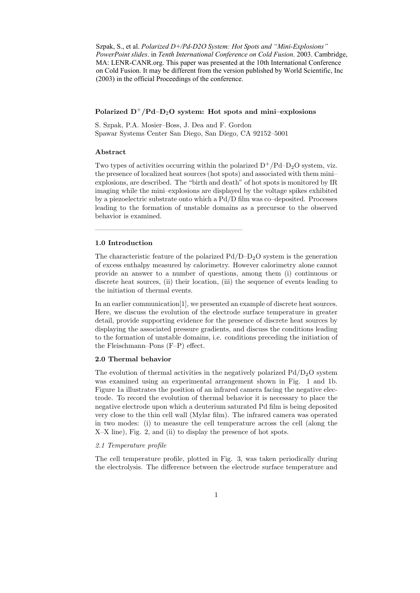Szpak, S., et al. *Polarized D+/Pd-D2O System: Hot Spots and "Mini-Explosions" PowerPoint slides*. in *Tenth International Conference on Cold Fusion*. 2003. Cambridge, MA: LENR-CANR.org. This paper was presented at the 10th International Conference on Cold Fusion. It may be different from the version published by World Scientific, Inc (2003) in the official Proceedings of the conference.

## Polarized  $D^+/Pd-D_2O$  system: Hot spots and mini–explosions

S. Szpak, P.A. Mosier–Boss, J. Dea and F. Gordon Spawar Systems Center San Diego, San Diego, CA 92152–5001

—————————————————————

## Abstract

Two types of activities occurring within the polarized  $D^{+}/Pd-D_{2}O$  system, viz. the presence of localized heat sources (hot spots) and associated with them mini– explosions, are described. The "birth and death" of hot spots is monitored by IR imaging while the mini–explosions are displayed by the voltage spikes exhibited by a piezoelectric substrate onto which a Pd/D film was co–deposited. Processes leading to the formation of unstable domains as a precursor to the observed behavior is examined.

# 1.0 Introduction

The characteristic feature of the polarized  $Pd/D-D<sub>2</sub>O$  system is the generation of excess enthalpy measured by calorimetry. However calorimetry alone cannot provide an answer to a number of questions, among them (i) continuous or discrete heat sources, (ii) their location, (iii) the sequence of events leading to the initiation of thermal events.

In an earlier communication[1], we presented an example of discrete heat sources. Here, we discuss the evolution of the electrode surface temperature in greater detail, provide supporting evidence for the presence of discrete heat sources by displaying the associated pressure gradients, and discuss the conditions leading to the formation of unstable domains, i.e. conditions preceding the initiation of the Fleischmann–Pons (F–P) effect.

## 2.0 Thermal behavior

The evolution of thermal activities in the negatively polarized  $Pd/D<sub>2</sub>O$  system was examined using an experimental arrangement shown in Fig. 1 and 1b. Figure 1a illustrates the position of an infrared camera facing the negative electrode. To record the evolution of thermal behavior it is necessary to place the negative electrode upon which a deuterium saturated Pd film is being deposited very close to the thin cell wall (Mylar film). The infrared camera was operated in two modes: (i) to measure the cell temperature across the cell (along the X–X line), Fig. 2, and (ii) to display the presence of hot spots.

#### 2.1 Temperature profile

The cell temperature profile, plotted in Fig. 3, was taken periodically during the electrolysis. The difference between the electrode surface temperature and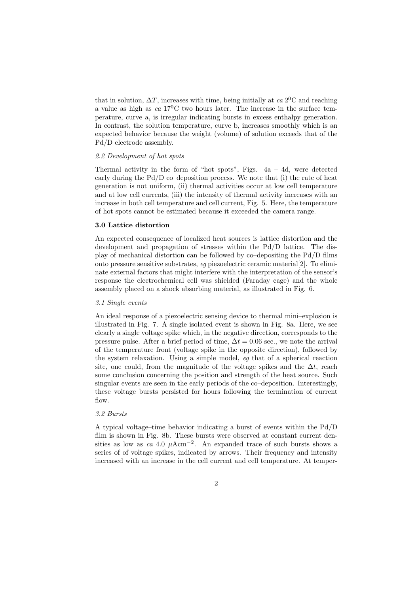that in solution,  $\Delta T$ , increases with time, being initially at  $ca 2^0C$  and reaching a value as high as ca  $17^{\circ}$ C two hours later. The increase in the surface temperature, curve a, is irregular indicating bursts in excess enthalpy generation. In contrast, the solution temperature, curve b, increases smoothly which is an expected behavior because the weight (volume) of solution exceeds that of the Pd/D electrode assembly.

#### 2.2 Development of hot spots

Thermal activity in the form of "hot spots", Figs.  $4a - 4d$ , were detected early during the  $Pd/D$  co–deposition process. We note that (i) the rate of heat generation is not uniform, (ii) thermal activities occur at low cell temperature and at low cell currents, (iii) the intensity of thermal activity increases with an increase in both cell temperature and cell current, Fig. 5. Here, the temperature of hot spots cannot be estimated because it exceeded the camera range.

### 3.0 Lattice distortion

An expected consequence of localized heat sources is lattice distortion and the development and propagation of stresses within the Pd/D lattice. The display of mechanical distortion can be followed by co–depositing the Pd/D films onto pressure sensitive substrates, eg piezoelectric ceramic material[2]. To eliminate external factors that might interfere with the interpretation of the sensor's response the electrochemical cell was shielded (Faraday cage) and the whole assembly placed on a shock absorbing material, as illustrated in Fig. 6.

#### 3.1 Single events

An ideal response of a piezoelectric sensing device to thermal mini–explosion is illustrated in Fig. 7. A single isolated event is shown in Fig. 8a. Here, we see clearly a single voltage spike which, in the negative direction, corresponds to the pressure pulse. After a brief period of time,  $\Delta t = 0.06$  sec., we note the arrival of the temperature front (voltage spike in the opposite direction), followed by the system relaxation. Using a simple model, eg that of a spherical reaction site, one could, from the magnitude of the voltage spikes and the  $\Delta t$ , reach some conclusion concerning the position and strength of the heat source. Such singular events are seen in the early periods of the co–deposition. Interestingly, these voltage bursts persisted for hours following the termination of current flow.

## 3.2 Bursts

A typical voltage–time behavior indicating a burst of events within the Pd/D film is shown in Fig. 8b. These bursts were observed at constant current densities as low as ca 4.0  $\mu$ Acm<sup>-2</sup>. An expanded trace of such bursts shows a series of of voltage spikes, indicated by arrows. Their frequency and intensity increased with an increase in the cell current and cell temperature. At temper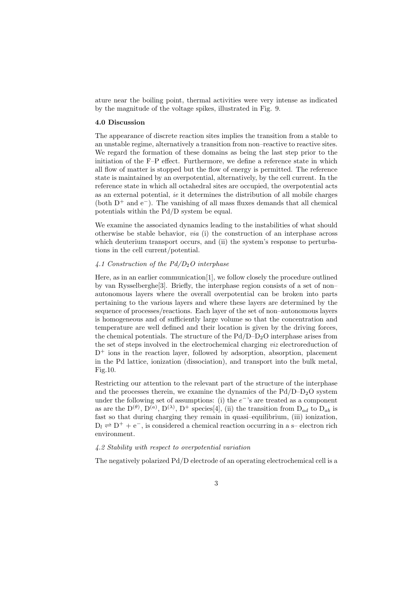ature near the boiling point, thermal activities were very intense as indicated by the magnitude of the voltage spikes, illustrated in Fig. 9.

#### 4.0 Discussion

The appearance of discrete reaction sites implies the transition from a stable to an unstable regime, alternatively a transition from non–reactive to reactive sites. We regard the formation of these domains as being the last step prior to the initiation of the F–P effect. Furthermore, we define a reference state in which all flow of matter is stopped but the flow of energy is permitted. The reference state is maintained by an overpotential, alternatively, by the cell current. In the reference state in which all octahedral sites are occupied, the overpotential acts as an external potential, ie it determines the distribution of all mobile charges (both  $D^+$  and  $e^-$ ). The vanishing of all mass fluxes demands that all chemical potentials within the Pd/D system be equal.

We examine the associated dynamics leading to the instabilities of what should otherwise be stable behavior, *via* (i) the construction of an interphase across which deuterium transport occurs, and (ii) the system's response to perturbations in the cell current/potential.

## 4.1 Construction of the  $Pd/D_2O$  interphase

Here, as in an earlier communication[1], we follow closely the procedure outlined by van Rysselberghe[3]. Briefly, the interphase region consists of a set of non– autonomous layers where the overall overpotential can be broken into parts pertaining to the various layers and where these layers are determined by the sequence of processes/reactions. Each layer of the set of non–autonomous layers is homogeneous and of sufficiently large volume so that the concentration and temperature are well defined and their location is given by the driving forces, the chemical potentials. The structure of the  $Pd/D-D<sub>2</sub>O$  interphase arises from the set of steps involved in the electrochemical charging viz electroreduction of  $D^+$  ions in the reaction layer, followed by adsorption, absorption, placement in the Pd lattice, ionization (dissociation), and transport into the bulk metal, Fig.10.

Restricting our attention to the relevant part of the structure of the interphase and the processes therein, we examine the dynamics of the  $Pd/D-D<sub>2</sub>O$  system under the following set of assumptions: (i) the  $e^{-}$ 's are treated as a component as are the  $D^{(\theta)}$ ,  $D^{(a)}$ ,  $D^{(\lambda)}$ ,  $D^{+}$  species[4], (ii) the transition from  $D_{ad}$  to  $D_{ab}$  is fast so that during charging they remain in quasi–equilibrium, (iii) ionization,  $D_l \rightleftharpoons D^+ + e^-$ , is considered a chemical reaction occurring in a s– electron rich environment.

#### 4.2 Stability with respect to overpotential variation

The negatively polarized Pd/D electrode of an operating electrochemical cell is a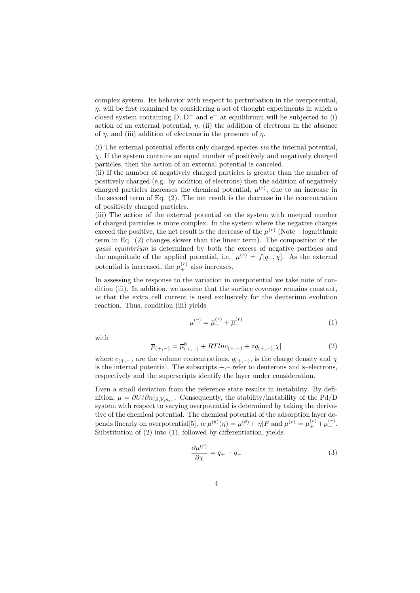complex system. Its behavior with respect to perturbation in the overpotential,  $n$ , will be first examined by considering a set of thought experiments in which a closed system containing D,  $D^+$  and  $e^-$  at equilibrium will be subjected to (i) action of an external potential,  $\eta$ , (ii) the addition of electrons in the absence of  $\eta$ , and (iii) addition of electrons in the presence of  $\eta$ .

(i) The external potential affects only charged species via the internal potential,  $\chi$ . If the system contains an equal number of positively and negatively charged particles, then the action of an external potential is canceled.

(ii) If the number of negatively charged particles is greater than the number of positively charged (e.g. by addition of electrons) then the addition of negatively charged particles increases the chemical potential,  $\mu^{(r)}$ , due to an increase in the second term of Eq. (2). The net result is the decrease in the concentration of positively charged particles.

(iii) The action of the external potential on the system with unequal number of charged particles is more complex. In the system where the negative charges exceed the positive, the net result is the decrease of the  $\mu^{(r)}$  (Note – logarithmic term in Eq. (2) changes slower than the linear term). The composition of the quasi–equilibrium is determined by both the excess of negative particles and the magnitude of the applied potential, i.e.  $\mu^{(r)} = f[q_-, \chi]$ . As the external potential is increased, the  $\mu_{+}^{(r)}$  also increases.

In assessing the response to the variation in overpotential we take note of condition (iii). In addition, we assume that the surface coverage remains constant, ie that the extra cell current is used exclusively for the deuterium evolution reaction. Thus, condition (iii) yields

$$
\mu^{(r)} = \overline{\mu}_{+}^{(r)} + \overline{\mu}_{-}^{(r)}
$$
\n(1)

with

$$
\overline{\mu}_{(+,-)} = \overline{\mu}_{(+,-)}^0 + RTlnc_{(+,-)} + zq_{(+,-)}|\chi| \tag{2}
$$

where  $c_{(+,-)}$  are the volume concentrations,  $q_{(+,-)}$ , is the charge density and  $\chi$ is the internal potential. The subscripts  $+$ ,– refer to deuterons and s–electrons, respectively and the superscripts identify the layer under consideration.

Even a small deviation from the reference state results in instability. By definition,  $\mu = \partial U / \partial n |_{S.V.n...}$ . Consequently, the stability/instability of the Pd/D system with respect to varying overpotential is determined by taking the derivative of the chemical potential. The chemical potential of the adsorption layer depends linearly on overpotential[5],  $ie \mu^{(\theta)}(\eta) = \mu^{(\theta)} + |\eta| F$  and  $\mu^{(r)} = \overline{\mu}_{+}^{(r)} + \overline{\mu}_{-}^{(r)}$ . Substitution of (2) into (1), followed by differentiation, yields

$$
\frac{\partial \mu^{(r)}}{\partial \chi} = q_+ - q_- \tag{3}
$$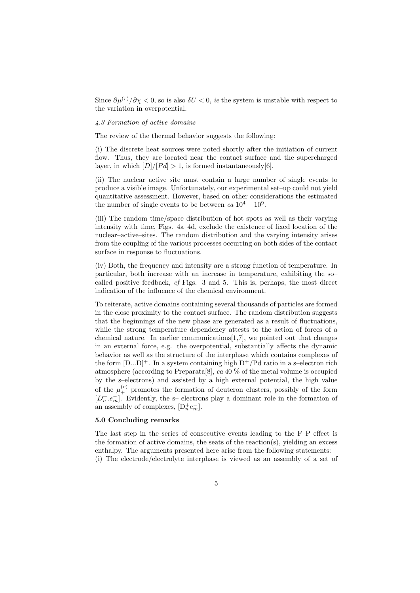Since  $\partial \mu^{(r)}/\partial \chi < 0$ , so is also  $\delta U < 0$ , *ie* the system is unstable with respect to the variation in overpotential.

### 4.3 Formation of active domains

The review of the thermal behavior suggests the following:

(i) The discrete heat sources were noted shortly after the initiation of current flow. Thus, they are located near the contact surface and the supercharged layer, in which  $[D]/[Pd] > 1$ , is formed instantaneously[6].

(ii) The nuclear active site must contain a large number of single events to produce a visible image. Unfortunately, our experimental set–up could not yield quantitative assessment. However, based on other considerations the estimated the number of single events to be between  $ca 10^4 - 10^9$ .

(iii) The random time/space distribution of hot spots as well as their varying intensity with time, Figs. 4a–4d, exclude the existence of fixed location of the nuclear–active–sites. The random distribution and the varying intensity arises from the coupling of the various processes occurring on both sides of the contact surface in response to fluctuations.

(iv) Both, the frequency and intensity are a strong function of temperature. In particular, both increase with an increase in temperature, exhibiting the so– called positive feedback, cf Figs. 3 and 5. This is, perhaps, the most direct indication of the influence of the chemical environment.

To reiterate, active domains containing several thousands of particles are formed in the close proximity to the contact surface. The random distribution suggests that the beginnings of the new phase are generated as a result of fluctuations, while the strong temperature dependency attests to the action of forces of a chemical nature. In earlier communications  $[1,7]$ , we pointed out that changes in an external force, e.g. the overpotential, substantially affects the dynamic behavior as well as the structure of the interphase which contains complexes of the form  $[D...D]^+$ . In a system containing high  $D^+/Pd$  ratio in a s-electron rich atmosphere (according to Preparata  $[8]$ , ca 40 % of the metal volume is occupied by the s–electrons) and assisted by a high external potential, the high value of the  $\mu_{+}^{(r)}$  promotes the formation of deuteron clusters, possibly of the form  $[D_n^+, e_m^-]$ . Evidently, the s- electrons play a dominant role in the formation of an assembly of complexes,  $[D_n^+e_m^-]$ .

#### 5.0 Concluding remarks

The last step in the series of consecutive events leading to the F–P effect is the formation of active domains, the seats of the reaction(s), yielding an excess enthalpy. The arguments presented here arise from the following statements: (i) The electrode/electrolyte interphase is viewed as an assembly of a set of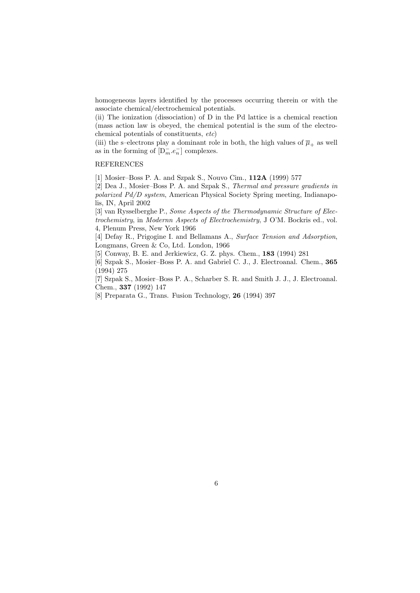homogeneous layers identified by the processes occurring therein or with the associate chemical/electrochemical potentials.

(ii) The ionization (dissociation) of D in the Pd lattice is a chemical reaction (mass action law is obeyed, the chemical potential is the sum of the electrochemical potentials of constituents, etc)

(iii) the s–electrons play a dominant role in both, the high values of  $\overline{\mu}_+$  as well as in the forming of  $[D_m^- . e_n^-]$  complexes.

# REFERENCES

[1] Mosier–Boss P. A. and Szpak S., Nouvo Cim., 112A (1999) 577

[2] Dea J., Mosier–Boss P. A. and Szpak S., Thermal and pressure gradients in polarized Pd/D system, American Physical Society Spring meeting, Indianapolis, IN, April 2002

[3] van Rysselberghe P., Some Aspects of the Thermodynamic Structure of Electrochemistry, in Modernn Aspects of Electrochemistry, J O'M. Bockris ed., vol. 4, Plenum Press, New York 1966

[4] Defay R., Prigogine I. and Bellamans A., Surface Tension and Adsorption, Longmans, Green & Co, Ltd. London, 1966

[5] Conway, B. E. and Jerkiewicz, G. Z. phys. Chem., 183 (1994) 281

[6] Szpak S., Mosier–Boss P. A. and Gabriel C. J., J. Electroanal. Chem., 365 (1994) 275

[7] Szpak S., Mosier–Boss P. A., Scharber S. R. and Smith J. J., J. Electroanal. Chem., 337 (1992) 147

[8] Preparata G., Trans. Fusion Technology, 26 (1994) 397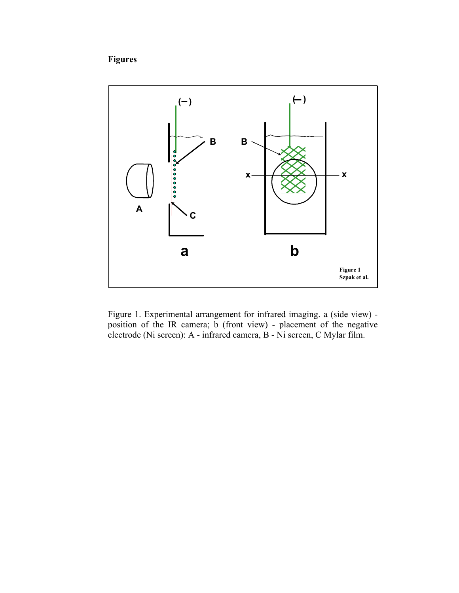# **Figures**



Figure 1. Experimental arrangement for infrared imaging. a (side view) position of the IR camera; b (front view) - placement of the negative electrode (Ni screen): A - infrared camera, B - Ni screen, C Mylar film.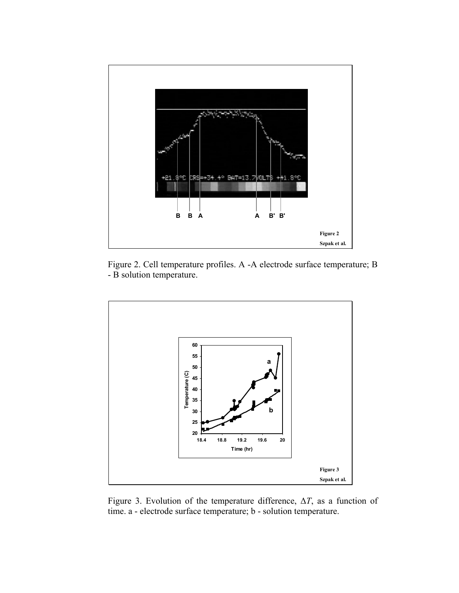

Figure 2. Cell temperature profiles. A -A electrode surface temperature; B - B solution temperature.



Figure 3. Evolution of the temperature difference, ∆*T*, as a function of time. a - electrode surface temperature; b - solution temperature.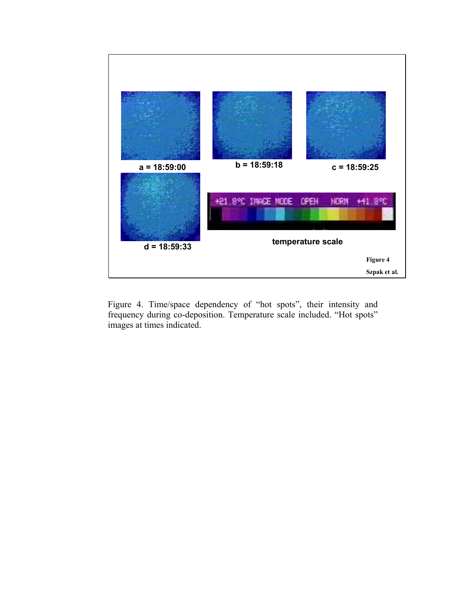

Figure 4. Time/space dependency of "hot spots", their intensity and frequency during co-deposition. Temperature scale included. "Hot spots" images at times indicated.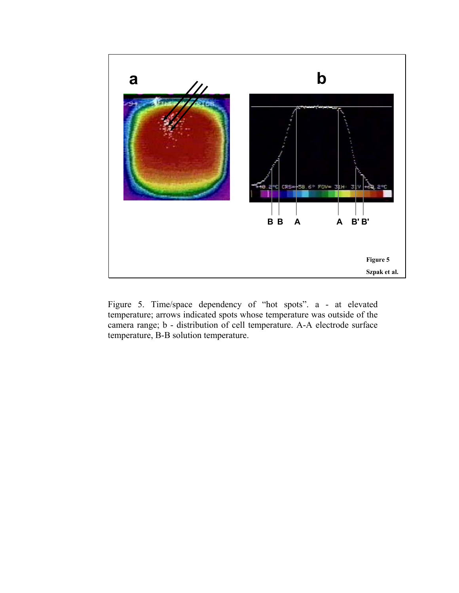

Figure 5. Time/space dependency of "hot spots". a - at elevated temperature; arrows indicated spots whose temperature was outside of the camera range; b - distribution of cell temperature. A-A electrode surface temperature, B-B solution temperature.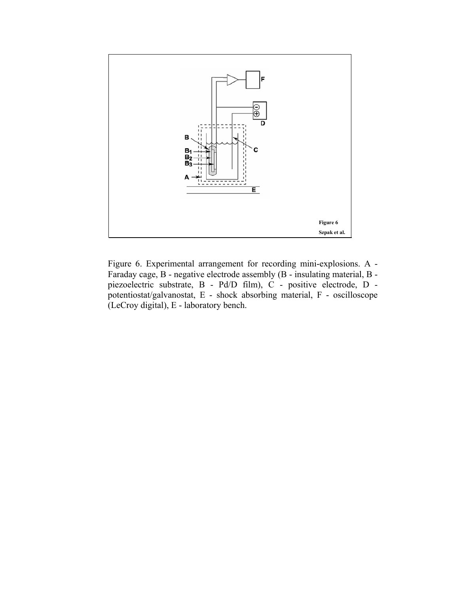

Figure 6. Experimental arrangement for recording mini-explosions. A - Faraday cage, B - negative electrode assembly (B - insulating material, B piezoelectric substrate, B - Pd/D film), C - positive electrode, D potentiostat/galvanostat, E - shock absorbing material, F - oscilloscope (LeCroy digital), E - laboratory bench.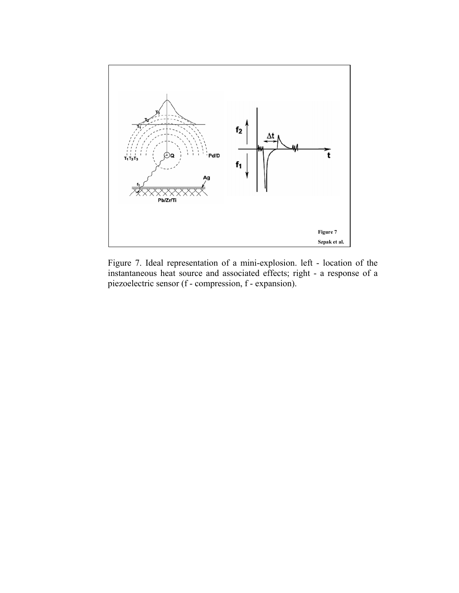

Figure 7. Ideal representation of a mini-explosion. left - location of the instantaneous heat source and associated effects; right - a response of a piezoelectric sensor (f - compression, f - expansion).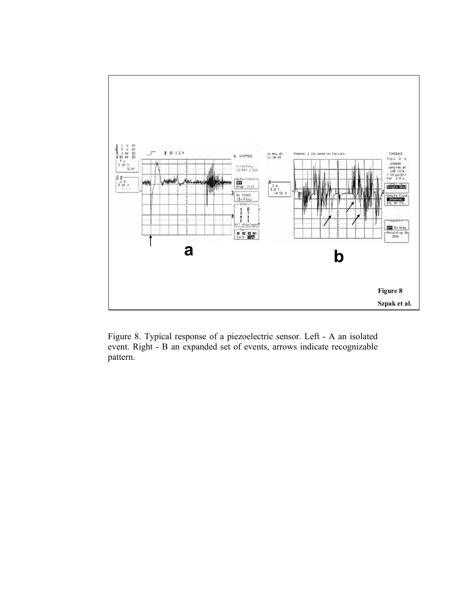

Figure 8. Typical response of a piezoelectric sensor. Left - A an isolated event. Right - B an expanded set of events, arrows indicate recognizable pattern.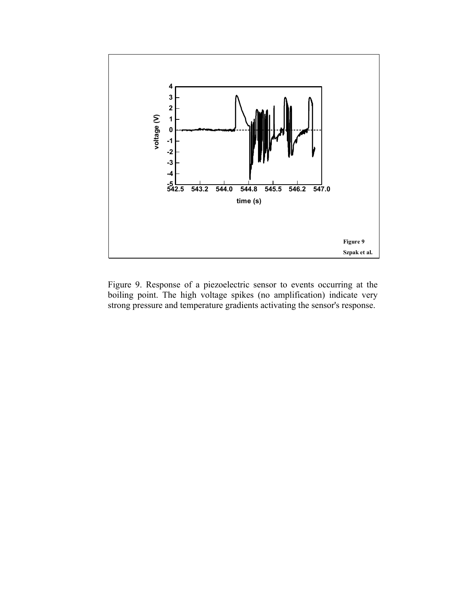

Figure 9. Response of a piezoelectric sensor to events occurring at the boiling point. The high voltage spikes (no amplification) indicate very strong pressure and temperature gradients activating the sensor's response.